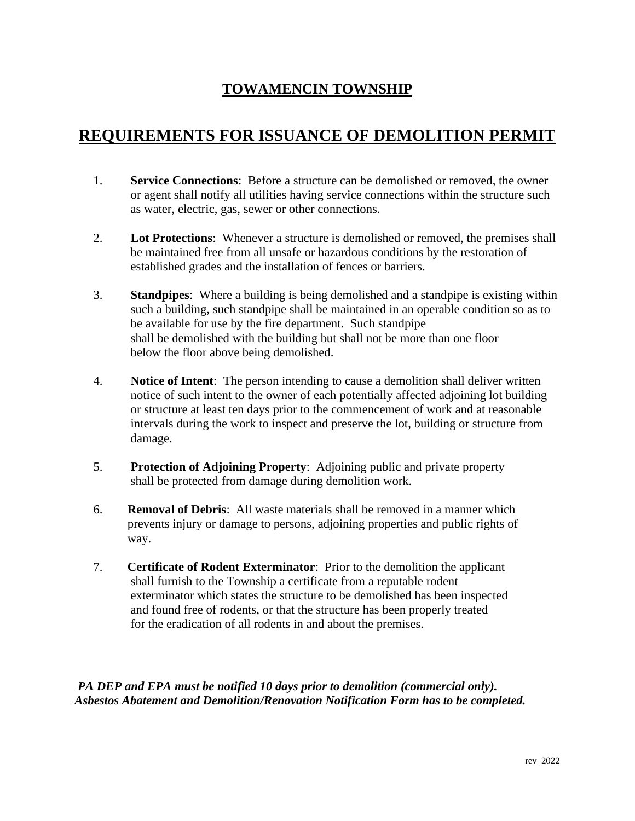### **TOWAMENCIN TOWNSHIP**

## **REQUIREMENTS FOR ISSUANCE OF DEMOLITION PERMIT**

- 1. **Service Connections**: Before a structure can be demolished or removed, the owner or agent shall notify all utilities having service connections within the structure such as water, electric, gas, sewer or other connections.
- 2. **Lot Protections**: Whenever a structure is demolished or removed, the premises shall be maintained free from all unsafe or hazardous conditions by the restoration of established grades and the installation of fences or barriers.
- 3. **Standpipes**: Where a building is being demolished and a standpipe is existing within such a building, such standpipe shall be maintained in an operable condition so as to be available for use by the fire department. Such standpipe shall be demolished with the building but shall not be more than one floor below the floor above being demolished.
- 4. **Notice of Intent**: The person intending to cause a demolition shall deliver written notice of such intent to the owner of each potentially affected adjoining lot building or structure at least ten days prior to the commencement of work and at reasonable intervals during the work to inspect and preserve the lot, building or structure from damage.
- 5. **Protection of Adjoining Property**: Adjoining public and private property shall be protected from damage during demolition work.
- 6. **Removal of Debris**: All waste materials shall be removed in a manner which prevents injury or damage to persons, adjoining properties and public rights of way.
- 7. **Certificate of Rodent Exterminator**: Prior to the demolition the applicant shall furnish to the Township a certificate from a reputable rodent exterminator which states the structure to be demolished has been inspected and found free of rodents, or that the structure has been properly treated for the eradication of all rodents in and about the premises.

*PA DEP and EPA must be notified 10 days prior to demolition (commercial only). Asbestos Abatement and Demolition/Renovation Notification Form has to be completed.*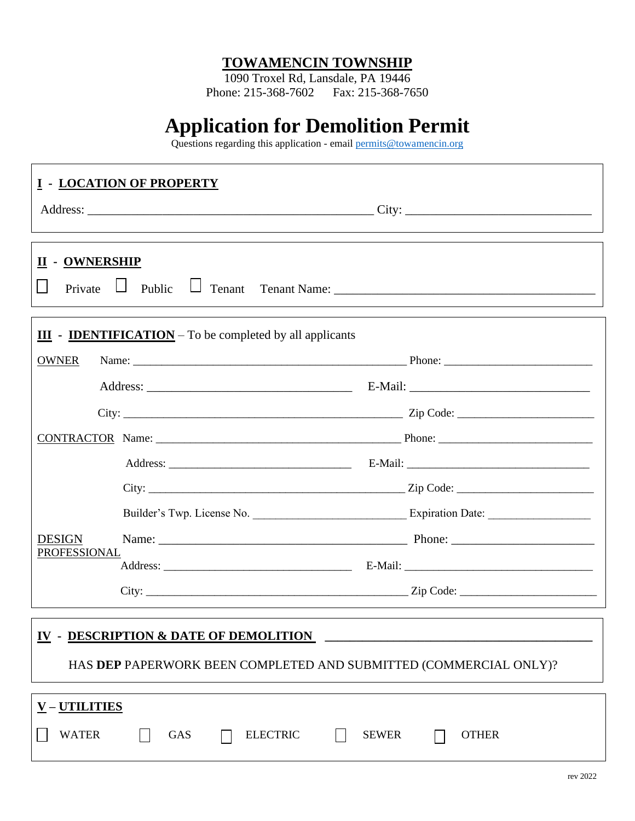#### **TOWAMENCIN TOWNSHIP**

1090 Troxel Rd, Lansdale, PA 19446 Phone: 215-368-7602 Fax: 215-368-7650

# **Application for Demolition Permit**

Questions regarding this application - email [permits@towamencin.org](mailto:permits@towamencin.org)

|                                                                                                                       | <b>I - LOCATION OF PROPERTY</b> |                              |  |  |
|-----------------------------------------------------------------------------------------------------------------------|---------------------------------|------------------------------|--|--|
| <b>II - OWNERSHIP</b>                                                                                                 |                                 |                              |  |  |
| $\underline{\mathbf{III}}$ - <b>IDENTIFICATION</b> – To be completed by all applicants<br><b>OWNER</b>                |                                 |                              |  |  |
|                                                                                                                       |                                 |                              |  |  |
|                                                                                                                       |                                 |                              |  |  |
|                                                                                                                       |                                 |                              |  |  |
|                                                                                                                       |                                 |                              |  |  |
|                                                                                                                       |                                 |                              |  |  |
|                                                                                                                       |                                 |                              |  |  |
| <b>DESIGN</b>                                                                                                         |                                 |                              |  |  |
| PROFESSIONAL                                                                                                          |                                 |                              |  |  |
|                                                                                                                       |                                 |                              |  |  |
| <b>IV - DESCRIPTION &amp; DATE OF DEMOLITION</b><br>HAS DEP PAPERWORK BEEN COMPLETED AND SUBMITTED (COMMERCIAL ONLY)? |                                 |                              |  |  |
| <u>V – UTILITIES</u><br><b>WATER</b>                                                                                  | <b>GAS</b><br><b>ELECTRIC</b>   | <b>SEWER</b><br><b>OTHER</b> |  |  |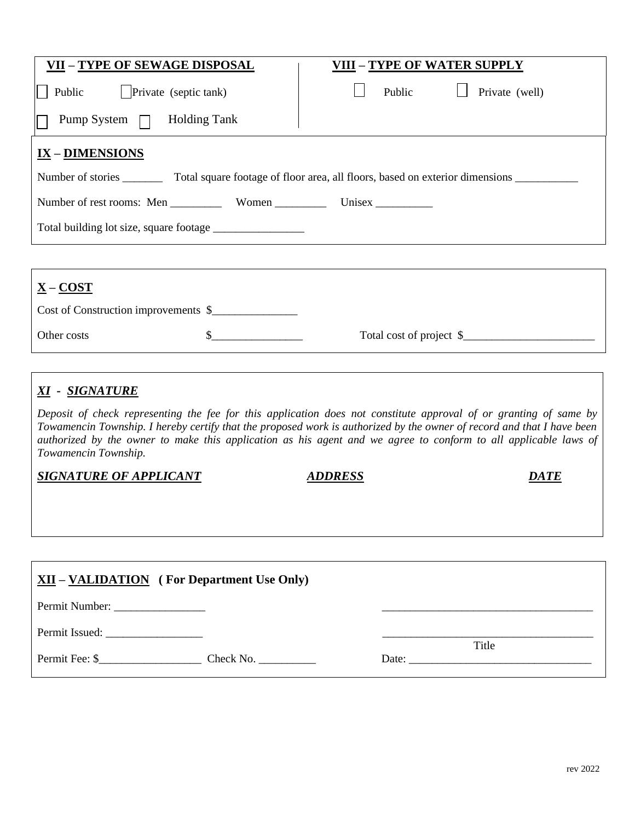| <b>VII - TYPE OF SEWAGE DISPOSAL</b>                                                              | <b>VIII - TYPE OF WATER SUPPLY</b> |  |  |  |  |
|---------------------------------------------------------------------------------------------------|------------------------------------|--|--|--|--|
| Public   Private (septic tank)                                                                    | Private (well)<br>Public           |  |  |  |  |
| Pump System $\Box$ Holding Tank                                                                   |                                    |  |  |  |  |
| IX - DIMENSIONS                                                                                   |                                    |  |  |  |  |
| Number of stories<br>Total square footage of floor area, all floors, based on exterior dimensions |                                    |  |  |  |  |
| Number of rest rooms: Men Women Women Unisex                                                      |                                    |  |  |  |  |
|                                                                                                   |                                    |  |  |  |  |
|                                                                                                   |                                    |  |  |  |  |
| $X - COST$                                                                                        |                                    |  |  |  |  |

| <u> A – CUST</u>                     |                          |
|--------------------------------------|--------------------------|
| Cost of Construction improvements \$ |                          |
| Other costs                          | Total cost of project \$ |

#### *XI - SIGNATURE*

*Deposit of check representing the fee for this application does not constitute approval of or granting of same by Towamencin Township. I hereby certify that the proposed work is authorized by the owner of record and that I have been authorized by the owner to make this application as his agent and we agree to conform to all applicable laws of Towamencin Township.* 

**SIGNATURE OF APPLICANT ADDRESS ADDRESS** 

| DRE! |  |
|------|--|
|      |  |

| $XII - VALIDATION$ (For Department Use Only) |                              |
|----------------------------------------------|------------------------------|
| Permit Number:                               |                              |
|                                              | Title                        |
| Permit Fee: \$<br>Check No.                  | Date: $\qquad \qquad \qquad$ |